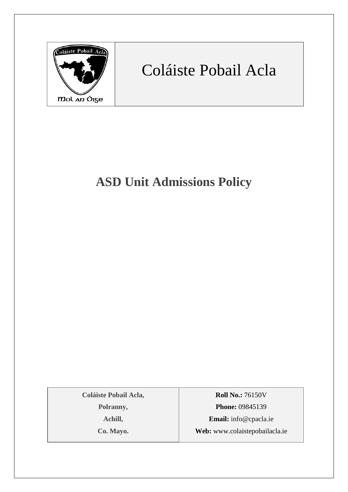

# Coláiste Pobail Acla

## **ASD Unit Admissions Policy**

**Coláiste Pobail Acla,**

**Polranny,**

**Achill,**

**Co. Mayo.**

**Roll No.:** 76150V **Phone:** 09845139

**Email:** [info@cpacla.ie](mailto:info@cpacla.ie) **Web:** www.colaistepobailacla.ie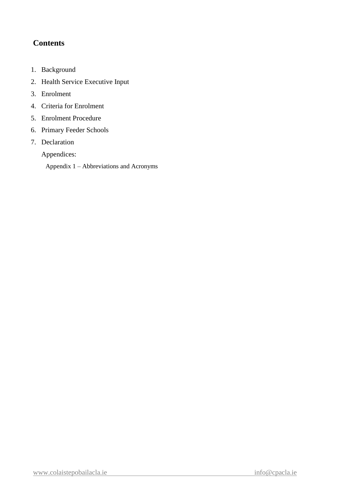#### **Contents**

- 1. Background
- 2. Health Service Executive Input
- 3. Enrolment
- 4. Criteria for Enrolment
- 5. Enrolment Procedure
- 6. Primary Feeder Schools
- 7. Declaration

Appendices:

Appendix 1 – Abbreviations and Acronyms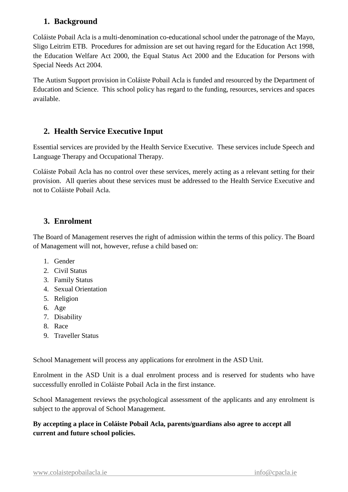#### **1. Background**

Coláiste Pobail Acla is a multi-denomination co-educational school under the patronage of the Mayo, Sligo Leitrim ETB. Procedures for admission are set out having regard for the Education Act 1998, the Education Welfare Act 2000, the Equal Status Act 2000 and the Education for Persons with Special Needs Act 2004.

The Autism Support provision in Coláiste Pobail Acla is funded and resourced by the Department of Education and Science. This school policy has regard to the funding, resources, services and spaces available.

#### **2. Health Service Executive Input**

Essential services are provided by the Health Service Executive. These services include Speech and Language Therapy and Occupational Therapy.

Coláiste Pobail Acla has no control over these services, merely acting as a relevant setting for their provision. All queries about these services must be addressed to the Health Service Executive and not to Coláiste Pobail Acla.

#### **3. Enrolment**

The Board of Management reserves the right of admission within the terms of this policy. The Board of Management will not, however, refuse a child based on:

- 1. Gender
- 2. Civil Status
- 3. Family Status
- 4. Sexual Orientation
- 5. Religion
- 6. Age
- 7. Disability
- 8. Race
- 9. Traveller Status

School Management will process any applications for enrolment in the ASD Unit.

Enrolment in the ASD Unit is a dual enrolment process and is reserved for students who have successfully enrolled in Coláiste Pobail Acla in the first instance.

School Management reviews the psychological assessment of the applicants and any enrolment is subject to the approval of School Management.

**By accepting a place in Coláiste Pobail Acla, parents/guardians also agree to accept all current and future school policies.**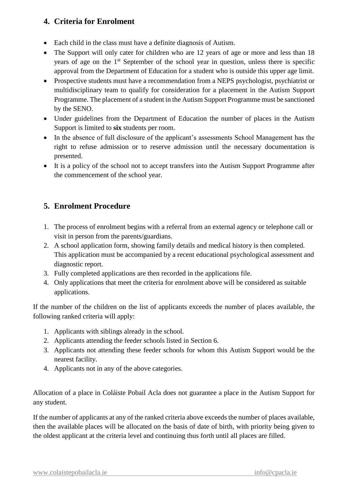#### **4. Criteria for Enrolment**

- Each child in the class must have a definite diagnosis of Autism.
- The Support will only cater for children who are 12 years of age or more and less than 18 years of age on the 1st September of the school year in question, unless there is specific approval from the Department of Education for a student who is outside this upper age limit.
- Prospective students must have a recommendation from a NEPS psychologist, psychiatrist or multidisciplinary team to qualify for consideration for a placement in the Autism Support Programme. The placement of a student in the Autism Support Programme must be sanctioned by the SENO.
- Under guidelines from the Department of Education the number of places in the Autism Support is limited to **six** students per room.
- In the absence of full disclosure of the applicant's assessments School Management has the right to refuse admission or to reserve admission until the necessary documentation is presented.
- It is a policy of the school not to accept transfers into the Autism Support Programme after the commencement of the school year.

#### **5. Enrolment Procedure**

- 1. The process of enrolment begins with a referral from an external agency or telephone call or visit in person from the parents/guardians.
- 2. A school application form, showing family details and medical history is then completed. This application must be accompanied by a recent educational psychological assessment and diagnostic report.
- 3. Fully completed applications are then recorded in the applications file.
- 4. Only applications that meet the criteria for enrolment above will be considered as suitable applications.

If the number of the children on the list of applicants exceeds the number of places available, the following ranked criteria will apply:

- 1. Applicants with siblings already in the school.
- 2. Applicants attending the feeder schools listed in Section 6.
- 3. Applicants not attending these feeder schools for whom this Autism Support would be the nearest facility.
- 4. Applicants not in any of the above categories.

Allocation of a place in Coláiste Pobail Acla does not guarantee a place in the Autism Support for any student.

If the number of applicants at any of the ranked criteria above exceeds the number of places available, then the available places will be allocated on the basis of date of birth, with priority being given to the oldest applicant at the criteria level and continuing thus forth until all places are filled.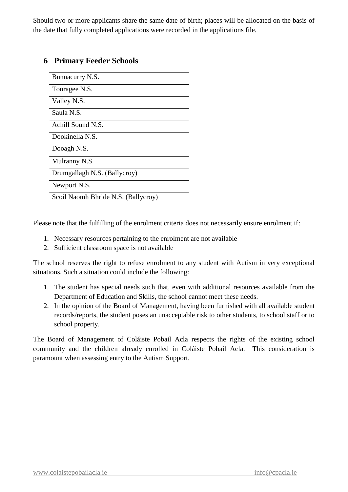Should two or more applicants share the same date of birth; places will be allocated on the basis of the date that fully completed applications were recorded in the applications file.

#### **6 Primary Feeder Schools**

| Bunnacurry N.S.                     |
|-------------------------------------|
| Tonragee N.S.                       |
| Valley N.S.                         |
| Saula N.S.                          |
| Achill Sound N.S.                   |
| Dookinella N.S.                     |
| Dooagh N.S.                         |
| Mulranny N.S.                       |
| Drumgallagh N.S. (Ballycroy)        |
| Newport N.S.                        |
| Scoil Naomh Bhride N.S. (Ballycroy) |

Please note that the fulfilling of the enrolment criteria does not necessarily ensure enrolment if:

- 1. Necessary resources pertaining to the enrolment are not available
- 2. Sufficient classroom space is not available

The school reserves the right to refuse enrolment to any student with Autism in very exceptional situations. Such a situation could include the following:

- 1. The student has special needs such that, even with additional resources available from the Department of Education and Skills, the school cannot meet these needs.
- 2. In the opinion of the Board of Management, having been furnished with all available student records/reports, the student poses an unacceptable risk to other students, to school staff or to school property.

The Board of Management of Coláiste Pobail Acla respects the rights of the existing school community and the children already enrolled in Coláiste Pobail Acla. This consideration is paramount when assessing entry to the Autism Support.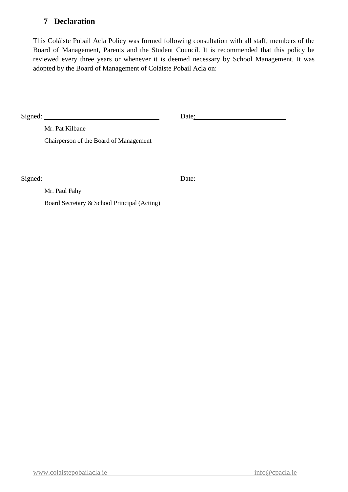#### **7 Declaration**

This Coláiste Pobail Acla Policy was formed following consultation with all staff, members of the Board of Management, Parents and the Student Council. It is recommended that this policy be reviewed every three years or whenever it is deemed necessary by School Management. It was adopted by the Board of Management of Coláiste Pobail Acla on:

|         | $Sigma:$ Signed:                            | Date: |  |
|---------|---------------------------------------------|-------|--|
|         | Mr. Pat Kilbane                             |       |  |
|         | Chairperson of the Board of Management      |       |  |
|         |                                             |       |  |
| Signed: |                                             | Date: |  |
|         | Mr. Paul Fahy                               |       |  |
|         | Board Secretary & School Principal (Acting) |       |  |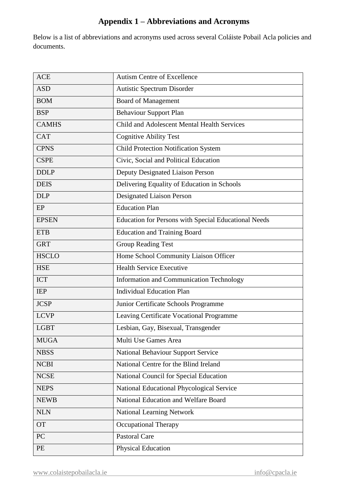### **Appendix 1 – Abbreviations and Acronyms**

Below is a list of abbreviations and acronyms used across several Coláiste Pobail Acla policies and documents.

| <b>ACE</b>   | <b>Autism Centre of Excellence</b>                   |
|--------------|------------------------------------------------------|
| <b>ASD</b>   | Autistic Spectrum Disorder                           |
| <b>BOM</b>   | <b>Board of Management</b>                           |
| <b>BSP</b>   | <b>Behaviour Support Plan</b>                        |
| <b>CAMHS</b> | Child and Adolescent Mental Health Services          |
| <b>CAT</b>   | <b>Cognitive Ability Test</b>                        |
| <b>CPNS</b>  | <b>Child Protection Notification System</b>          |
| <b>CSPE</b>  | Civic, Social and Political Education                |
| <b>DDLP</b>  | Deputy Designated Liaison Person                     |
| <b>DEIS</b>  | Delivering Equality of Education in Schools          |
| <b>DLP</b>   | Designated Liaison Person                            |
| EP           | <b>Education Plan</b>                                |
| <b>EPSEN</b> | Education for Persons with Special Educational Needs |
| <b>ETB</b>   | <b>Education and Training Board</b>                  |
| <b>GRT</b>   | <b>Group Reading Test</b>                            |
| <b>HSCLO</b> | Home School Community Liaison Officer                |
| <b>HSE</b>   | <b>Health Service Executive</b>                      |
| <b>ICT</b>   | Information and Communication Technology             |
| <b>IEP</b>   | <b>Individual Education Plan</b>                     |
| <b>JCSP</b>  | Junior Certificate Schools Programme                 |
| <b>LCVP</b>  | Leaving Certificate Vocational Programme             |
| <b>LGBT</b>  | Lesbian, Gay, Bisexual, Transgender                  |
| <b>MUGA</b>  | Multi Use Games Area                                 |
| <b>NBSS</b>  | <b>National Behaviour Support Service</b>            |
| <b>NCBI</b>  | National Centre for the Blind Ireland                |
| <b>NCSE</b>  | National Council for Special Education               |
| <b>NEPS</b>  | National Educational Phycological Service            |
| <b>NEWB</b>  | National Education and Welfare Board                 |
| <b>NLN</b>   | <b>National Learning Network</b>                     |
| <b>OT</b>    | <b>Occupational Therapy</b>                          |
| PC           | <b>Pastoral Care</b>                                 |
| PE           | <b>Physical Education</b>                            |